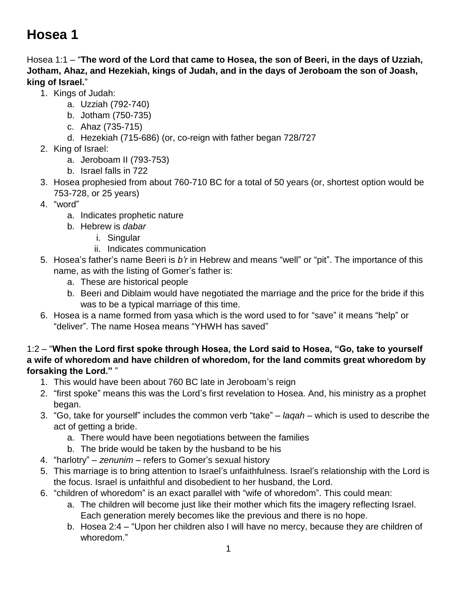# **Hosea 1**

Hosea 1:1 – "**The word of the Lord that came to Hosea, the son of Beeri, in the days of Uzziah, Jotham, Ahaz, and Hezekiah, kings of Judah, and in the days of Jeroboam the son of Joash, king of Israel.**"

- 1. Kings of Judah:
	- a. Uzziah (792-740)
	- b. Jotham (750-735)
	- c. Ahaz (735-715)
	- d. Hezekiah (715-686) (or, co-reign with father began 728/727
- 2. King of Israel:
	- a. Jeroboam II (793-753)
	- b. Israel falls in 722
- 3. Hosea prophesied from about 760-710 BC for a total of 50 years (or, shortest option would be 753-728, or 25 years)
- 4. "word"
	- a. Indicates prophetic nature
	- b. Hebrew is *dabar*
		- i. Singular
		- ii. Indicates communication
- 5. Hosea's father's name Beeri is *b'r* in Hebrew and means "well" or "pit". The importance of this name, as with the listing of Gomer's father is:
	- a. These are historical people
	- b. Beeri and Diblaim would have negotiated the marriage and the price for the bride if this was to be a typical marriage of this time.
- 6. Hosea is a name formed from yasa which is the word used to for "save" it means "help" or "deliver". The name Hosea means "YHWH has saved"

#### 1:2 – "**When the Lord first spoke through Hosea, the Lord said to Hosea, "Go, take to yourself a wife of whoredom and have children of whoredom, for the land commits great whoredom by forsaking the Lord."** "

- 1. This would have been about 760 BC late in Jeroboam's reign
- 2. "first spoke" means this was the Lord's first revelation to Hosea. And, his ministry as a prophet began.
- 3. "Go, take for yourself" includes the common verb "take" *laqah* which is used to describe the act of getting a bride.
	- a. There would have been negotiations between the families
	- b. The bride would be taken by the husband to be his
- 4. "harlotry" *zenunim* refers to Gomer's sexual history
- 5. This marriage is to bring attention to Israel's unfaithfulness. Israel's relationship with the Lord is the focus. Israel is unfaithful and disobedient to her husband, the Lord.
- 6. "children of whoredom" is an exact parallel with "wife of whoredom". This could mean:
	- a. The children will become just like their mother which fits the imagery reflecting Israel. Each generation merely becomes like the previous and there is no hope.
	- b. Hosea 2:4 "Upon her children also I will have no mercy, because they are children of whoredom."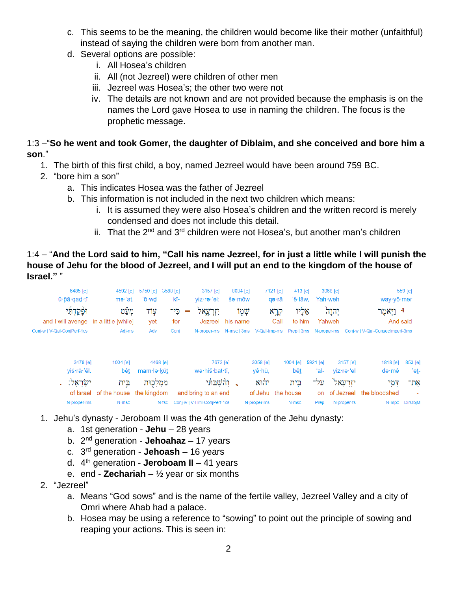- c. This seems to be the meaning, the children would become like their mother (unfaithful) instead of saying the children were born from another man.
- d. Several options are possible:
	- i. All Hosea's children
	- ii. All (not Jezreel) were children of other men
	- iii. Jezreel was Hosea's; the other two were not
	- iv. The details are not known and are not provided because the emphasis is on the names the Lord gave Hosea to use in naming the children. The focus is the prophetic message.

### 1:3 –"**So he went and took Gomer, the daughter of Diblaim, and she conceived and bore him a son**."

- 1. The birth of this first child, a boy, named Jezreel would have been around 759 BC.
- 2. "bore him a son"
	- a. This indicates Hosea was the father of Jezreel
	- b. This information is not included in the next two children which means:
		- i. It is assumed they were also Hosea's children and the written record is merely condensed and does not include this detail.
		- ii. That the  $2^{nd}$  and  $3^{rd}$  children were not Hosea's, but another man's children

#### 1:4 – "**And the Lord said to him, "Call his name Jezreel, for in just a little while I will punish the house of Jehu for the blood of Jezreel, and I will put an end to the kingdom of the house of Israel."** "

| 6485 [e]<br>ū · pā · qad · tî<br>וּפַּקַדְתִּי<br>and I will avenge in a little [while] | 4592 [e]<br>mə·'at,<br>מעַט   | 5750 [e]<br>'ō·wd<br>עוד       | 3157 [e]<br>3588 [e]<br>kî-<br>yiz·rə·'el;<br>כֵי־<br>יורעאל:<br>for   | 8034 [e]<br>$\sin \theta$<br>שמו<br>Jezreel his name | 7121 [e]<br>qə∙rā<br>קְרָא<br>Call   | 413 [e]<br>'ê·lāw,<br>אַלְיו<br>to him | 3068 [e]<br>Yah weh<br>יְהוָהֹ<br>Yahweh |                                     | way · yō · mer<br>4 וַיָּאמֶר<br>And said | 559 [e]               |
|-----------------------------------------------------------------------------------------|-------------------------------|--------------------------------|------------------------------------------------------------------------|------------------------------------------------------|--------------------------------------|----------------------------------------|------------------------------------------|-------------------------------------|-------------------------------------------|-----------------------|
| Conj-w   V-Qal-ConjPerf-1cs                                                             | Adj-ms                        | yet<br>Adv                     | Conj                                                                   |                                                      | N-proper-ms N-msc   3ms V-Qal-Imp-ms |                                        | Prep   3ms N-proper-ms                   |                                     | Conj-w   V-Qal-ConsecImperf-3ms           |                       |
| 3478 [e]<br>yiś·rā·'êl.                                                                 | 1004 [e]<br>bêt               | 4468 [e]<br>mam·lə·kūt         | 7673 [e]<br>wə·hiš·bat·tî.                                             |                                                      | 3058 [e]<br>yê hū,                   | $1004$ $[el]$<br>bêt                   | 5921 [e]<br>ʻal-                         | 3157 [e]<br>yiz·re·'el              | 1818 [e]<br>də∙mê                         | 853 [e]<br>'et-       |
| יִשְׂרַאֵל:<br>of Israel<br>N-proper-ms                                                 | בֵית<br>of the house<br>N-msc | ממלכות<br>the kingdom<br>N-fsc | וְהָשָׁבַּתִּי<br>and bring to an end<br>Conj-w   V-Hifil-ConjPerf-1cs |                                                      | יהוא<br>of Jehu<br>N-proper-ms       | בֵית<br>the house<br>N-msc             | עַל־<br>on<br>Prep                       | יזרעאל<br>of Jezreel<br>N-proper-fs | דְמֵי<br>the bloodshed                    | אָת־<br>N-mpc DirObjM |

- 1. Jehu's dynasty Jeroboam II was the 4th generation of the Jehu dynasty:
	- a. 1st generation **Jehu** 28 years
	- b. 2 nd generation **Jehoahaz** 17 years
	- c. 3 rd generation **Jehoash** 16 years
	- d. 4 th generation **Jeroboam II**  41 years
	- e. end **Zechariah** ½ year or six months
- 2. "Jezreel"
	- a. Means "God sows" and is the name of the fertile valley, Jezreel Valley and a city of Omri where Ahab had a palace.
	- b. Hosea may be using a reference to "sowing" to point out the principle of sowing and reaping your actions. This is seen in: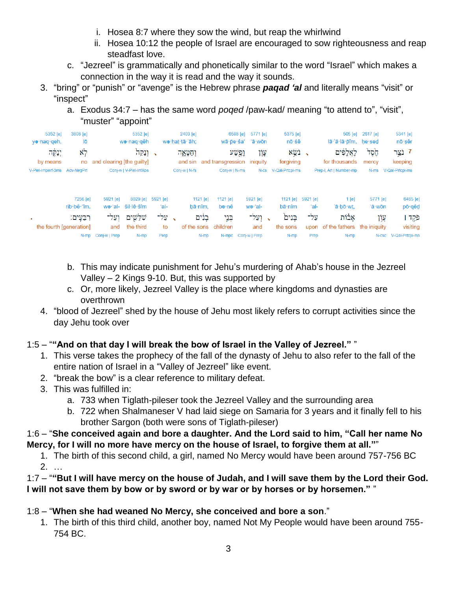- i. Hosea 8:7 where they sow the wind, but reap the whirlwind
- ii. Hosea 10:12 the people of Israel are encouraged to sow righteousness and reap steadfast love.
- c. "Jezreel" is grammatically and phonetically similar to the word "Israel" which makes a connection in the way it is read and the way it sounds.
- 3. "bring" or "punish" or "avenge" is the Hebrew phrase *paqad 'al* and literally means "visit" or "inspect"
	- a. Exodus 34:7 has the same word *poqed* /paw-kad/ meaning "to attend to", "visit", "muster" "appoint"

| 5352 [e]                     | 3808 [e]                |                           | 5352 [e]               |                          | 2403 [e]       |                                              | 6588 [e]<br>5771 [e] | 5375 [e]             |                          | 505 [e]                          | 2617 [e]                  | 5341 [e]              |
|------------------------------|-------------------------|---------------------------|------------------------|--------------------------|----------------|----------------------------------------------|----------------------|----------------------|--------------------------|----------------------------------|---------------------------|-----------------------|
| yə·naq·qeh,                  | lō                      |                           | wə·naq·qêh             |                          | we hat tā 'āh; |                                              | wā·pe·ša'<br>'ā∙wōn  | nō∙śê                |                          | lā 'ă lā pîm, he sed             |                           | nō∙sêr                |
| יִנַּקֶּה                    | לא                      |                           | וְנַקֵּה               | $\overline{\phantom{0}}$ | וְחַטָּאֶה     |                                              | עָוֹן<br>וֶפֶּשַׁע   | בשא                  | $\overline{\phantom{a}}$ | לַאַלַפִּים                      | <u>ئز</u> ۇب <sub>ر</sub> | 7 נֹצֵר               |
| by means                     | no                      | and clearing [the guilty] |                        |                          | and sin        | and transgression                            | iniguity             | forgiving            |                          | for thousands                    | mercy                     | keeping               |
| V-Piel-Imperf-3ms Adv-NegPrt |                         |                           | Conj-w   V-Piel-InfAbs |                          | Conj-w   N-fs  | Conj-w   N-ms                                | $N-cs$               | V-Qal-Prtcpl-ms      |                          | Prep-I, Art   Number-mp          | N-ms                      | V-Qal-Prtcpl-ms       |
|                              | 7256 [e]<br>rib bê 'îm. | 5921 [e]<br>wə·'al-       | 8029 [e]<br>šil·lê·šîm | 5921 [e]<br>'al-         |                | 1121 $[e]$<br>1121 $[e]$<br>bā·nîm.<br>bə∙nê | 5921 [e]<br>we·'al-  | 1121 $[e]$<br>bā∙nîm | 5921 [e]<br>'al-         | $1$ [e]<br>'ā·bō·wt.             | 5771 [e]<br>'ă·wōn        | 6485 [e]<br>pō·qêd    |
| л.                           | רִבֶּעֵים:              | וְעַל־                    | שִׁלֵשִׁים             | √ עַל־                   |                | בְּנֵי<br>בנים                               | ןעַל־                | בַּנִים              | על־                      | אבֿות                            | עון                       | פֿקד                  |
| the fourth [generation]      |                         | and                       | the third              | to                       | of the sons    | children                                     | and                  | the sons             |                          | upon of the fathers the iniquity |                           | visiting              |
|                              | N-mp                    | Conj-w   Prep             | N-mp                   | Prep                     |                | N-mp                                         | N-mpc Conj-w   Prep  | N-mp                 | Prep                     | N-mp                             |                           | N-csc V-Qal-Prtcpl-ms |

- b. This may indicate punishment for Jehu's murdering of Ahab's house in the Jezreel Valley – 2 Kings 9-10. But, this was supported by
- c. Or, more likely, Jezreel Valley is the place where kingdoms and dynasties are overthrown
- 4. "blood of Jezreel" shed by the house of Jehu most likely refers to corrupt activities since the day Jehu took over

## 1:5 – "**"And on that day I will break the bow of Israel in the Valley of Jezreel."** "

- 1. This verse takes the prophecy of the fall of the dynasty of Jehu to also refer to the fall of the entire nation of Israel in a "Valley of Jezreel" like event.
- 2. "break the bow" is a clear reference to military defeat.
- 3. This was fulfilled in:
	- a. 733 when Tiglath-pileser took the Jezreel Valley and the surrounding area
	- b. 722 when Shalmaneser V had laid siege on Samaria for 3 years and it finally fell to his brother Sargon (both were sons of Tiglath-pileser)

## 1:6 – "**She conceived again and bore a daughter. And the Lord said to him, "Call her name No Mercy, for I will no more have mercy on the house of Israel, to forgive them at all."**"

1. The birth of this second child, a girl, named No Mercy would have been around 757-756 BC 2. …

## 1:7 – "**"But I will have mercy on the house of Judah, and I will save them by the Lord their God. I will not save them by bow or by sword or by war or by horses or by horsemen."** "

## 1:8 – "**When she had weaned No Mercy, she conceived and bore a son**."

1. The birth of this third child, another boy, named Not My People would have been around 755- 754 BC.